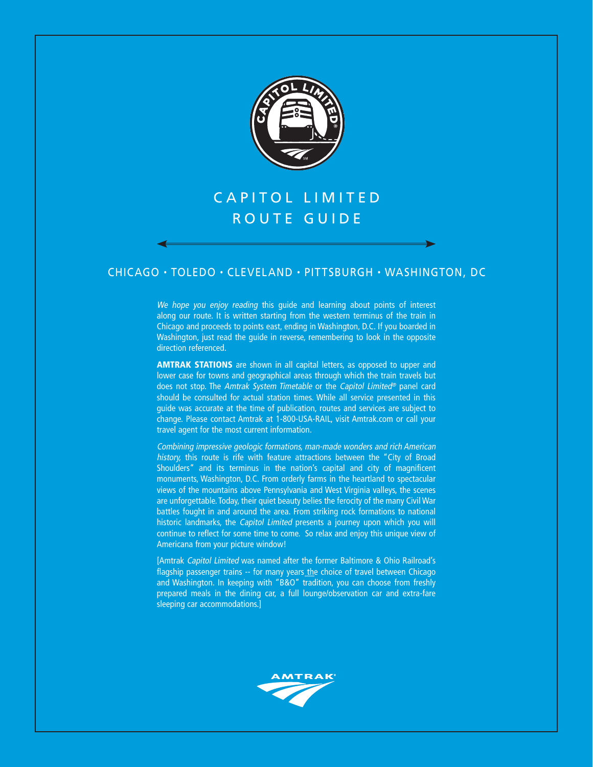

# CAPITOL LIMITED ROUTE GUIDE

## CHICAGO • TOLEDO • CLEVELAND • PITTSBURGH • WASHINGTON, DC

We hope you enjoy reading this guide and learning about points of interest along our route. It is written starting from the western terminus of the train in Chicago and proceeds to points east, ending in Washington, D.C. If you boarded in Washington, just read the guide in reverse, remembering to look in the opposite direction referenced.

**AMTRAK STATIONS** are shown in all capital letters, as opposed to upper and lower case for towns and geographical areas through which the train travels but does not stop. The Amtrak System Timetable or the Capitol Limited® panel card should be consulted for actual station times. While all service presented in this guide was accurate at the time of publication, routes and services are subject to change. Please contact Amtrak at 1-800-USA-RAIL, visit Amtrak.com or call your travel agent for the most current information.

Combining impressive geologic formations, man-made wonders and rich American history, this route is rife with feature attractions between the "City of Broad Shoulders" and its terminus in the nation's capital and city of magnificent monuments, Washington, D.C. From orderly farms in the heartland to spectacular views of the mountains above Pennsylvania and West Virginia valleys, the scenes are unforgettable. Today, their quiet beauty belies the ferocity of the many Civil War battles fought in and around the area. From striking rock formations to national historic landmarks, the Capitol Limited presents a journey upon which you will continue to reflect for some time to come. So relax and enjoy this unique view of Americana from your picture window!

[Amtrak Capitol Limited was named after the former Baltimore & Ohio Railroad's flagship passenger trains -- for many years the choice of travel between Chicago and Washington. In keeping with "B&O" tradition, you can choose from freshly prepared meals in the dining car, a full lounge/observation car and extra-fare sleeping car accommodations.]

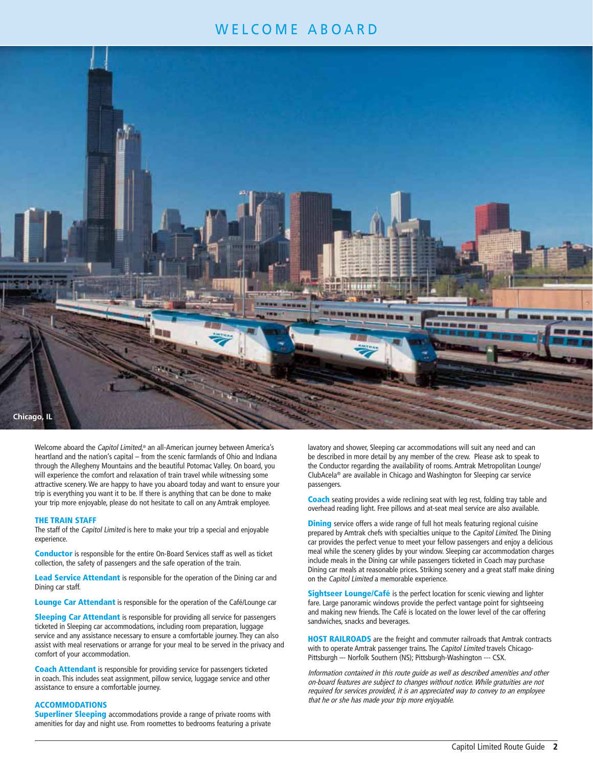# WELCOME ABOARD



Welcome aboard the Capitol Limited,<sup>®</sup> an all-American journey between America's heartland and the nation's capital – from the scenic farmlands of Ohio and Indiana through the Allegheny Mountains and the beautiful Potomac Valley. On board, you will experience the comfort and relaxation of train travel while witnessing some attractive scenery. We are happy to have you aboard today and want to ensure your trip is everything you want it to be. If there is anything that can be done to make your trip more enjoyable, please do not hesitate to call on any Amtrak employee.

#### **THE TRAIN STAFF**

The staff of the Capitol Limited is here to make your trip a special and enjoyable experience.

**Conductor** is responsible for the entire On-Board Services staff as well as ticket collection, the safety of passengers and the safe operation of the train.

**Lead Service Attendant** is responsible for the operation of the Dining car and Dining car staff.

**Lounge Car Attendant** is responsible for the operation of the Café/Lounge car

**Sleeping Car Attendant** is responsible for providing all service for passengers ticketed in Sleeping car accommodations, including room preparation, luggage service and any assistance necessary to ensure a comfortable journey. They can also assist with meal reservations or arrange for your meal to be served in the privacy and comfort of your accommodation.

**Coach Attendant** is responsible for providing service for passengers ticketed in coach. This includes seat assignment, pillow service, luggage service and other assistance to ensure a comfortable journey.

#### **ACCOMMODATIONS**

**Superliner Sleeping** accommodations provide a range of private rooms with amenities for day and night use. From roomettes to bedrooms featuring a private

lavatory and shower, Sleeping car accommodations will suit any need and can be described in more detail by any member of the crew. Please ask to speak to the Conductor regarding the availability of rooms. Amtrak Metropolitan Lounge/ ClubAcela® are available in Chicago and Washington for Sleeping car service passengers.

**Coach** seating provides a wide reclining seat with leg rest, folding tray table and overhead reading light. Free pillows and at-seat meal service are also available.

**Dining** service offers a wide range of full hot meals featuring regional cuisine prepared by Amtrak chefs with specialties unique to the Capitol Limited. The Dining car provides the perfect venue to meet your fellow passengers and enjoy a delicious meal while the scenery glides by your window. Sleeping car accommodation charges include meals in the Dining car while passengers ticketed in Coach may purchase Dining car meals at reasonable prices. Striking scenery and a great staff make dining on the Capitol Limited a memorable experience.

**Sightseer Lounge/Café** is the perfect location for scenic viewing and lighter fare. Large panoramic windows provide the perfect vantage point for sightseeing and making new friends. The Café is located on the lower level of the car offering sandwiches, snacks and beverages.

**HOST RAILROADS** are the freight and commuter railroads that Amtrak contracts with to operate Amtrak passenger trains. The Capitol Limited travels Chicago-Pittsburgh -- Norfolk Southern (NS); Pittsburgh-Washington --- CSX.

Information contained in this route guide as well as described amenities and other on-board features are subject to changes without notice. While gratuities are not required for services provided, it is an appreciated way to convey to an employee that he or she has made your trip more enjoyable.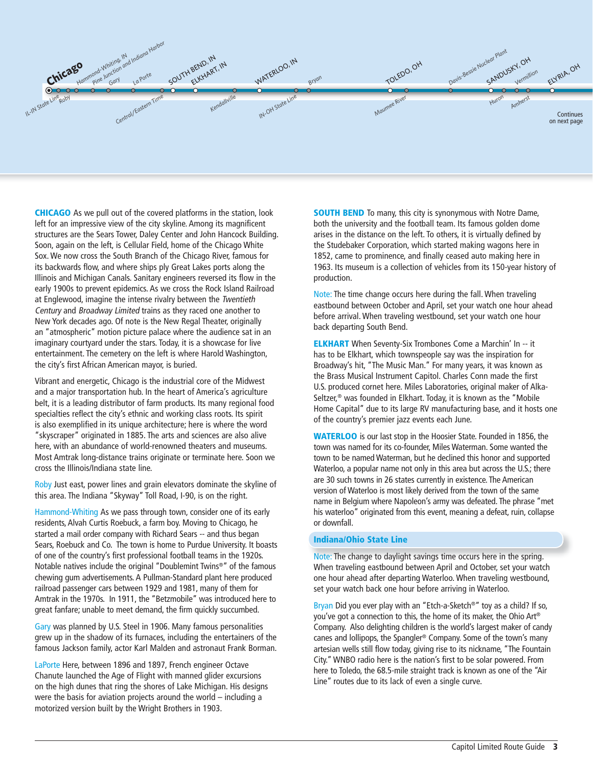

**CHICAGO** As we pull out of the covered platforms in the station, look left for an impressive view of the city skyline. Among its magnificent structures are the Sears Tower, Daley Center and John Hancock Building. Soon, again on the left, is Cellular Field, home of the Chicago White Sox. We now cross the South Branch of the Chicago River, famous for its backwards flow, and where ships ply Great Lakes ports along the Illinois and Michigan Canals. Sanitary engineers reversed its flow in the early 1900s to prevent epidemics. As we cross the Rock Island Railroad at Englewood, imagine the intense rivalry between the Twentieth Century and Broadway Limited trains as they raced one another to New York decades ago. Of note is the New Regal Theater, originally an "atmospheric" motion picture palace where the audience sat in an imaginary courtyard under the stars. Today, it is a showcase for live entertainment. The cemetery on the left is where Harold Washington, the city's first African American mayor, is buried.

Vibrant and energetic, Chicago is the industrial core of the Midwest and a major transportation hub. In the heart of America's agriculture belt, it is a leading distributor of farm products. Its many regional food specialties reflect the city's ethnic and working class roots. Its spirit is also exemplified in its unique architecture; here is where the word "skyscraper" originated in 1885. The arts and sciences are also alive here, with an abundance of world-renowned theaters and museums. Most Amtrak long-distance trains originate or terminate here. Soon we cross the Illinois/Indiana state line.

Roby Just east, power lines and grain elevators dominate the skyline of this area. The Indiana "Skyway" Toll Road, I-90, is on the right.

Hammond-Whiting As we pass through town, consider one of its early residents, Alvah Curtis Roebuck, a farm boy. Moving to Chicago, he started a mail order company with Richard Sears -- and thus began Sears, Roebuck and Co. The town is home to Purdue University. It boasts of one of the country's first professional football teams in the 1920s. Notable natives include the original "Doublemint Twins®" of the famous chewing gum advertisements. A Pullman-Standard plant here produced railroad passenger cars between 1929 and 1981, many of them for Amtrak in the 1970s. In 1911, the "Betzmobile" was introduced here to great fanfare; unable to meet demand, the firm quickly succumbed.

Gary was planned by U.S. Steel in 1906. Many famous personalities grew up in the shadow of its furnaces, including the entertainers of the famous Jackson family, actor Karl Malden and astronaut Frank Borman.

LaPorte Here, between 1896 and 1897, French engineer Octave Chanute launched the Age of Flight with manned glider excursions on the high dunes that ring the shores of Lake Michigan. His designs were the basis for aviation projects around the world – including a motorized version built by the Wright Brothers in 1903.

**SOUTH BEND** To many, this city is synonymous with Notre Dame, both the university and the football team. Its famous golden dome arises in the distance on the left. To others, it is virtually defined by the Studebaker Corporation, which started making wagons here in 1852, came to prominence, and finally ceased auto making here in 1963. Its museum is a collection of vehicles from its 150-year history of production.

Note: The time change occurs here during the fall. When traveling eastbound between October and April, set your watch one hour ahead before arrival. When traveling westbound, set your watch one hour back departing South Bend.

**ELKHART** When Seventy-Six Trombones Come a Marchin' In -- it has to be Elkhart, which townspeople say was the inspiration for Broadway's hit, "The Music Man." For many years, it was known as the Brass Musical Instrument Capitol. Charles Conn made the first U.S. produced cornet here. Miles Laboratories, original maker of Alka-Seltzer,® was founded in Elkhart. Today, it is known as the "Mobile Home Capital" due to its large RV manufacturing base, and it hosts one of the country's premier jazz events each June.

**WATERLOO** is our last stop in the Hoosier State. Founded in 1856, the town was named for its co-founder, Miles Waterman. Some wanted the town to be named Waterman, but he declined this honor and supported Waterloo, a popular name not only in this area but across the U.S.; there are 30 such towns in 26 states currently in existence. The American version of Waterloo is most likely derived from the town of the same name in Belgium where Napoleon's army was defeated. The phrase "met his waterloo" originated from this event, meaning a defeat, ruin, collapse or downfall.

#### **Indiana/Ohio State Line**

Note: The change to daylight savings time occurs here in the spring. When traveling eastbound between April and October, set your watch one hour ahead after departing Waterloo. When traveling westbound, set your watch back one hour before arriving in Waterloo.

Bryan Did you ever play with an "Etch-a-Sketch®" toy as a child? If so, you've got a connection to this, the home of its maker, the Ohio Art® Company. Also delighting children is the world's largest maker of candy canes and lollipops, the Spangler® Company. Some of the town's many artesian wells still flow today, giving rise to its nickname, "The Fountain City." WNBO radio here is the nation's first to be solar powered. From here to Toledo, the 68.5-mile straight track is known as one of the "Air Line" routes due to its lack of even a single curve.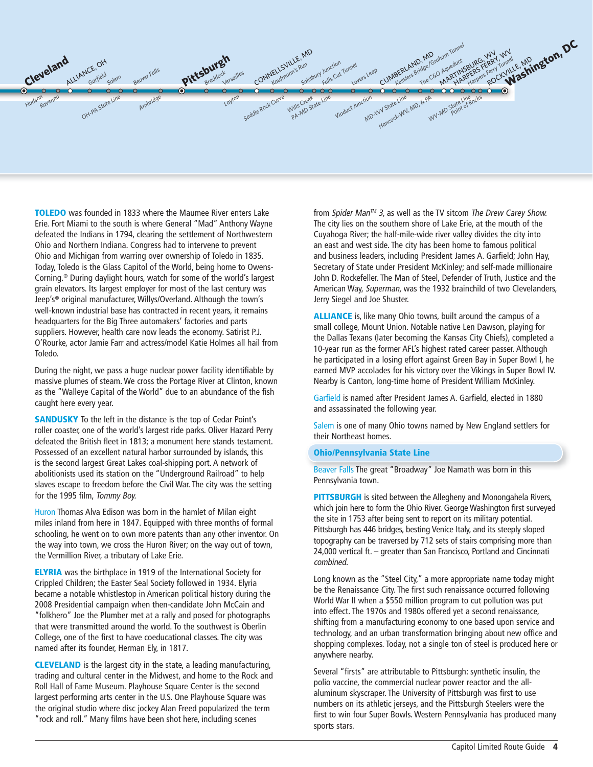

**TOLEDO** was founded in 1833 where the Maumee River enters Lake Erie. Fort Miami to the south is where General "Mad" Anthony Wayne defeated the Indians in 1794, clearing the settlement of Northwestern Ohio and Northern Indiana. Congress had to intervene to prevent Ohio and Michigan from warring over ownership of Toledo in 1835. Today, Toledo is the Glass Capitol of the World, being home to Owens-Corning.® During daylight hours, watch for some of the world's largest grain elevators. Its largest employer for most of the last century was Jeep's® original manufacturer, Willys/Overland. Although the town's well-known industrial base has contracted in recent years, it remains headquarters for the Big Three automakers' factories and parts suppliers. However, health care now leads the economy. Satirist P.J. O'Rourke, actor Jamie Farr and actress/model Katie Holmes all hail from Toledo.

During the night, we pass a huge nuclear power facility identifiable by massive plumes of steam. We cross the Portage River at Clinton, known as the "Walleye Capital of the World" due to an abundance of the fish caught here every year.

**SANDUSKY** To the left in the distance is the top of Cedar Point's roller coaster, one of the world's largest ride parks. Oliver Hazard Perry defeated the British fleet in 1813; a monument here stands testament. Possessed of an excellent natural harbor surrounded by islands, this is the second largest Great Lakes coal-shipping port. A network of abolitionists used its station on the "Underground Railroad" to help slaves escape to freedom before the Civil War. The city was the setting for the 1995 film, Tommy Boy.

Huron Thomas Alva Edison was born in the hamlet of Milan eight miles inland from here in 1847. Equipped with three months of formal schooling, he went on to own more patents than any other inventor. On the way into town, we cross the Huron River; on the way out of town, the Vermillion River, a tributary of Lake Erie.

**ELYRIA** was the birthplace in 1919 of the International Society for Crippled Children; the Easter Seal Society followed in 1934. Elyria became a notable whistlestop in American political history during the 2008 Presidential campaign when then-candidate John McCain and "folkhero" Joe the Plumber met at a rally and posed for photographs that were transmitted around the world. To the southwest is Oberlin College, one of the first to have coeducational classes. The city was named after its founder, Herman Ely, in 1817.

**CLEVELAND** is the largest city in the state, a leading manufacturing, trading and cultural center in the Midwest, and home to the Rock and Roll Hall of Fame Museum. Playhouse Square Center is the second largest performing arts center in the U.S. One Playhouse Square was the original studio where disc jockey Alan Freed popularized the term "rock and roll." Many films have been shot here, including scenes

from Spider Man™ 3, as well as the TV sitcom The Drew Carey Show. The city lies on the southern shore of Lake Erie, at the mouth of the Cuyahoga River; the half-mile-wide river valley divides the city into an east and west side. The city has been home to famous political and business leaders, including President James A. Garfield; John Hay, Secretary of State under President McKinley; and self-made millionaire John D. Rockefeller. The Man of Steel, Defender of Truth, Justice and the American Way, Superman, was the 1932 brainchild of two Clevelanders, Jerry Siegel and Joe Shuster.

**ALLIANCE** is, like many Ohio towns, built around the campus of a small college, Mount Union. Notable native Len Dawson, playing for the Dallas Texans (later becoming the Kansas City Chiefs), completed a 10-year run as the former AFL's highest rated career passer. Although he participated in a losing effort against Green Bay in Super Bowl I, he earned MVP accolades for his victory over the Vikings in Super Bowl IV. Nearby is Canton, long-time home of President William McKinley.

Garfield is named after President James A. Garfield, elected in 1880 and assassinated the following year.

Salem is one of many Ohio towns named by New England settlers for their Northeast homes.

#### **Ohio/Pennsylvania State Line**

Beaver Falls The great "Broadway" Joe Namath was born in this Pennsylvania town.

**PITTSBURGH** is sited between the Allegheny and Monongahela Rivers, which join here to form the Ohio River. George Washington first surveyed the site in 1753 after being sent to report on its military potential. Pittsburgh has 446 bridges, besting Venice Italy, and its steeply sloped topography can be traversed by 712 sets of stairs comprising more than 24,000 vertical ft. – greater than San Francisco, Portland and Cincinnati combined.

Long known as the "Steel City," a more appropriate name today might be the Renaissance City. The first such renaissance occurred following World War II when a \$550 million program to cut pollution was put into effect. The 1970s and 1980s offered yet a second renaissance, shifting from a manufacturing economy to one based upon service and technology, and an urban transformation bringing about new office and shopping complexes. Today, not a single ton of steel is produced here or anywhere nearby.

Several "firsts" are attributable to Pittsburgh: synthetic insulin, the polio vaccine, the commercial nuclear power reactor and the allaluminum skyscraper. The University of Pittsburgh was first to use numbers on its athletic jerseys, and the Pittsburgh Steelers were the first to win four Super Bowls. Western Pennsylvania has produced many sports stars.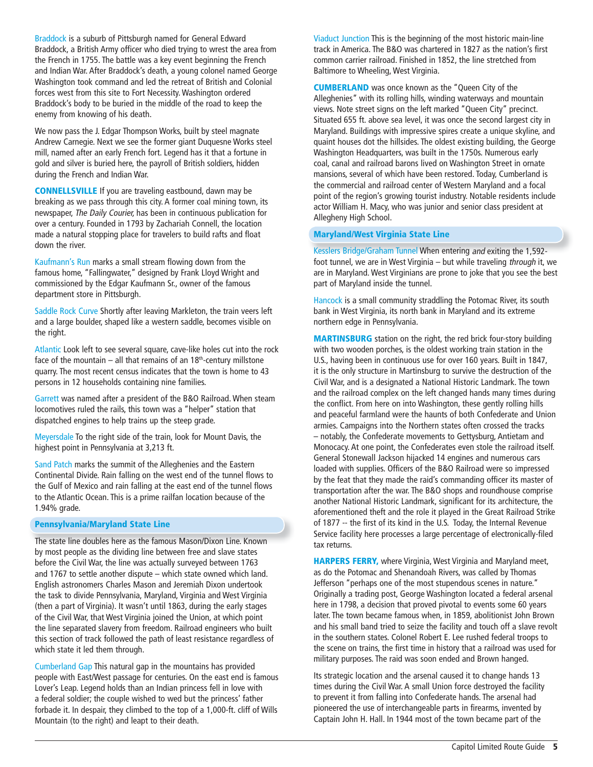Braddock is a suburb of Pittsburgh named for General Edward Braddock, a British Army officer who died trying to wrest the area from the French in 1755. The battle was a key event beginning the French and Indian War. After Braddock's death, a young colonel named George Washington took command and led the retreat of British and Colonial forces west from this site to Fort Necessity. Washington ordered Braddock's body to be buried in the middle of the road to keep the enemy from knowing of his death.

We now pass the J. Edgar Thompson Works, built by steel magnate Andrew Carnegie. Next we see the former giant Duquesne Works steel mill, named after an early French fort. Legend has it that a fortune in gold and silver is buried here, the payroll of British soldiers, hidden during the French and Indian War.

**CONNELLSVILLE** If you are traveling eastbound, dawn may be breaking as we pass through this city. A former coal mining town, its newspaper, The Daily Courier, has been in continuous publication for over a century. Founded in 1793 by Zachariah Connell, the location made a natural stopping place for travelers to build rafts and float down the river.

Kaufmann's Run marks a small stream flowing down from the famous home, "Fallingwater," designed by Frank Lloyd Wright and commissioned by the Edgar Kaufmann Sr., owner of the famous department store in Pittsburgh.

Saddle Rock Curve Shortly after leaving Markleton, the train veers left and a large boulder, shaped like a western saddle, becomes visible on the right.

Atlantic Look left to see several square, cave-like holes cut into the rock face of the mountain – all that remains of an  $18<sup>th</sup>$ -century millstone quarry. The most recent census indicates that the town is home to 43 persons in 12 households containing nine families.

Garrett was named after a president of the B&O Railroad. When steam locomotives ruled the rails, this town was a "helper" station that dispatched engines to help trains up the steep grade.

Meyersdale To the right side of the train, look for Mount Davis, the highest point in Pennsylvania at 3,213 ft.

Sand Patch marks the summit of the Alleghenies and the Eastern Continental Divide. Rain falling on the west end of the tunnel flows to the Gulf of Mexico and rain falling at the east end of the tunnel flows to the Atlantic Ocean. This is a prime railfan location because of the 1.94% grade.

#### **Pennsylvania/Maryland State Line**

The state line doubles here as the famous Mason/Dixon Line. Known by most people as the dividing line between free and slave states before the Civil War, the line was actually surveyed between 1763 and 1767 to settle another dispute – which state owned which land. English astronomers Charles Mason and Jeremiah Dixon undertook the task to divide Pennsylvania, Maryland, Virginia and West Virginia (then a part of Virginia). It wasn't until 1863, during the early stages of the Civil War, that West Virginia joined the Union, at which point the line separated slavery from freedom. Railroad engineers who built this section of track followed the path of least resistance regardless of which state it led them through.

Cumberland Gap This natural gap in the mountains has provided people with East/West passage for centuries. On the east end is famous Lover's Leap. Legend holds than an Indian princess fell in love with a federal soldier; the couple wished to wed but the princess' father forbade it. In despair, they climbed to the top of a 1,000-ft. cliff of Wills Mountain (to the right) and leapt to their death.

Viaduct Junction This is the beginning of the most historic main-line track in America. The B&O was chartered in 1827 as the nation's first common carrier railroad. Finished in 1852, the line stretched from Baltimore to Wheeling, West Virginia.

**CUMBERLAND** was once known as the "Queen City of the Alleghenies" with its rolling hills, winding waterways and mountain views. Note street signs on the left marked "Queen City" precinct. Situated 655 ft. above sea level, it was once the second largest city in Maryland. Buildings with impressive spires create a unique skyline, and quaint houses dot the hillsides. The oldest existing building, the George Washington Headquarters, was built in the 1750s. Numerous early coal, canal and railroad barons lived on Washington Street in ornate mansions, several of which have been restored. Today, Cumberland is the commercial and railroad center of Western Maryland and a focal point of the region's growing tourist industry. Notable residents include actor William H. Macy, who was junior and senior class president at Allegheny High School.

## **Maryland/West Virginia State Line**

Kesslers Bridge/Graham Tunnel When entering and exiting the 1,592 foot tunnel, we are in West Virginia – but while traveling through it, we are in Maryland. West Virginians are prone to joke that you see the best part of Maryland inside the tunnel.

Hancock is a small community straddling the Potomac River, its south bank in West Virginia, its north bank in Maryland and its extreme northern edge in Pennsylvania.

**MARTINSBURG** station on the right, the red brick four-story building with two wooden porches, is the oldest working train station in the U.S., having been in continuous use for over 160 years. Built in 1847, it is the only structure in Martinsburg to survive the destruction of the Civil War, and is a designated a National Historic Landmark. The town and the railroad complex on the left changed hands many times during the conflict. From here on into Washington, these gently rolling hills and peaceful farmland were the haunts of both Confederate and Union armies. Campaigns into the Northern states often crossed the tracks – notably, the Confederate movements to Gettysburg, Antietam and Monocacy. At one point, the Confederates even stole the railroad itself. General Stonewall Jackson hijacked 14 engines and numerous cars loaded with supplies. Officers of the B&O Railroad were so impressed by the feat that they made the raid's commanding officer its master of transportation after the war. The B&O shops and roundhouse comprise another National Historic Landmark, significant for its architecture, the aforementioned theft and the role it played in the Great Railroad Strike of 1877 -- the first of its kind in the U.S. Today, the Internal Revenue Service facility here processes a large percentage of electronically-filed tax returns.

**HARPERS FERRY,** where Virginia, West Virginia and Maryland meet, as do the Potomac and Shenandoah Rivers, was called by Thomas Jefferson "perhaps one of the most stupendous scenes in nature." Originally a trading post, George Washington located a federal arsenal here in 1798, a decision that proved pivotal to events some 60 years later. The town became famous when, in 1859, abolitionist John Brown and his small band tried to seize the facility and touch off a slave revolt in the southern states. Colonel Robert E. Lee rushed federal troops to the scene on trains, the first time in history that a railroad was used for military purposes. The raid was soon ended and Brown hanged.

Its strategic location and the arsenal caused it to change hands 13 times during the Civil War. A small Union force destroyed the facility to prevent it from falling into Confederate hands. The arsenal had pioneered the use of interchangeable parts in firearms, invented by Captain John H. Hall. In 1944 most of the town became part of the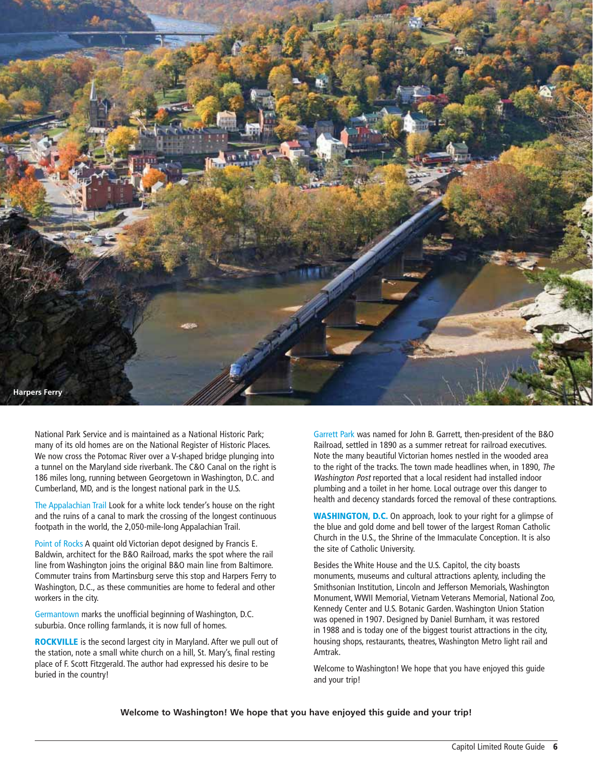

National Park Service and is maintained as a National Historic Park; many of its old homes are on the National Register of Historic Places. We now cross the Potomac River over a V-shaped bridge plunging into a tunnel on the Maryland side riverbank. The C&O Canal on the right is 186 miles long, running between Georgetown in Washington, D.C. and Cumberland, MD, and is the longest national park in the U.S.

The Appalachian Trail Look for a white lock tender's house on the right and the ruins of a canal to mark the crossing of the longest continuous footpath in the world, the 2,050-mile-long Appalachian Trail.

Point of Rocks A quaint old Victorian depot designed by Francis E. Baldwin, architect for the B&O Railroad, marks the spot where the rail line from Washington joins the original B&O main line from Baltimore. Commuter trains from Martinsburg serve this stop and Harpers Ferry to Washington, D.C., as these communities are home to federal and other workers in the city.

Germantown marks the unofficial beginning of Washington, D.C. suburbia. Once rolling farmlands, it is now full of homes.

**ROCKVILLE** is the second largest city in Maryland. After we pull out of the station, note a small white church on a hill, St. Mary's, final resting place of F. Scott Fitzgerald. The author had expressed his desire to be buried in the country!

Garrett Park was named for John B. Garrett, then-president of the B&O Railroad, settled in 1890 as a summer retreat for railroad executives. Note the many beautiful Victorian homes nestled in the wooded area to the right of the tracks. The town made headlines when, in 1890, The Washington Post reported that a local resident had installed indoor plumbing and a toilet in her home. Local outrage over this danger to health and decency standards forced the removal of these contraptions.

**WASHINGTON, D.C.** On approach, look to your right for a glimpse of the blue and gold dome and bell tower of the largest Roman Catholic Church in the U.S., the Shrine of the Immaculate Conception. It is also the site of Catholic University.

Besides the White House and the U.S. Capitol, the city boasts monuments, museums and cultural attractions aplenty, including the Smithsonian Institution, Lincoln and Jefferson Memorials, Washington Monument, WWII Memorial, Vietnam Veterans Memorial, National Zoo, Kennedy Center and U.S. Botanic Garden. Washington Union Station was opened in 1907. Designed by Daniel Burnham, it was restored in 1988 and is today one of the biggest tourist attractions in the city, housing shops, restaurants, theatres, Washington Metro light rail and Amtrak.

Welcome to Washington! We hope that you have enjoyed this guide and your trip!

**Welcome to Washington! We hope that you have enjoyed this guide and your trip!**